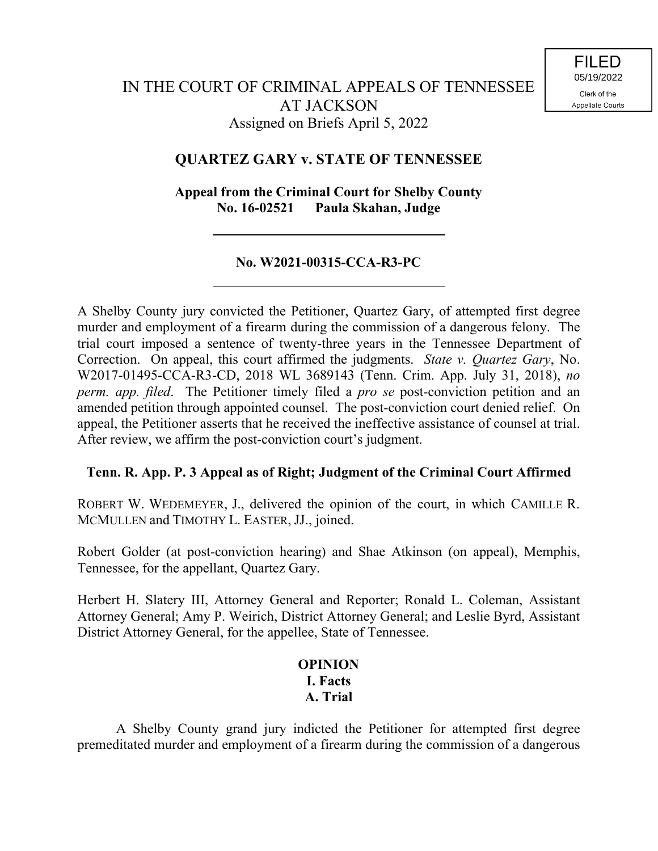# **QUARTEZ GARY v. STATE OF TENNESSEE**

**Appeal from the Criminal Court for Shelby County No. 16-02521 Paula Skahan, Judge**

## **No. W2021-00315-CCA-R3-PC**

A Shelby County jury convicted the Petitioner, Quartez Gary, of attempted first degree murder and employment of a firearm during the commission of a dangerous felony. The trial court imposed a sentence of twenty-three years in the Tennessee Department of Correction. On appeal, this court affirmed the judgments. *State v. Quartez Gary*, No. W2017-01495-CCA-R3-CD, 2018 WL 3689143 (Tenn. Crim. App. July 31, 2018), *no perm. app. filed*. The Petitioner timely filed a *pro se* post-conviction petition and an amended petition through appointed counsel. The post-conviction court denied relief. On appeal, the Petitioner asserts that he received the ineffective assistance of counsel at trial. After review, we affirm the post-conviction court's judgment.

## **Tenn. R. App. P. 3 Appeal as of Right; Judgment of the Criminal Court Affirmed**

ROBERT W. WEDEMEYER, J., delivered the opinion of the court, in which CAMILLE R. MCMULLEN and TIMOTHY L. EASTER, JJ., joined.

Robert Golder (at post-conviction hearing) and Shae Atkinson (on appeal), Memphis, Tennessee, for the appellant, Quartez Gary.

Herbert H. Slatery III, Attorney General and Reporter; Ronald L. Coleman, Assistant Attorney General; Amy P. Weirich, District Attorney General; and Leslie Byrd, Assistant District Attorney General, for the appellee, State of Tennessee.

# **OPINION I. Facts A. Trial**

A Shelby County grand jury indicted the Petitioner for attempted first degree premeditated murder and employment of a firearm during the commission of a dangerous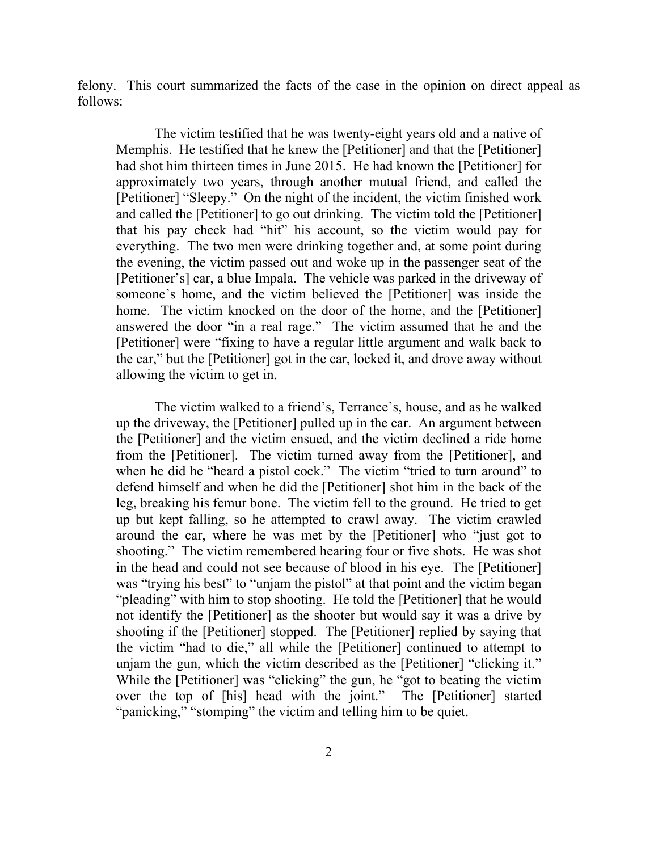felony. This court summarized the facts of the case in the opinion on direct appeal as follows:

The victim testified that he was twenty-eight years old and a native of Memphis. He testified that he knew the [Petitioner] and that the [Petitioner] had shot him thirteen times in June 2015. He had known the [Petitioner] for approximately two years, through another mutual friend, and called the [Petitioner] "Sleepy." On the night of the incident, the victim finished work and called the [Petitioner] to go out drinking. The victim told the [Petitioner] that his pay check had "hit" his account, so the victim would pay for everything. The two men were drinking together and, at some point during the evening, the victim passed out and woke up in the passenger seat of the [Petitioner's] car, a blue Impala. The vehicle was parked in the driveway of someone's home, and the victim believed the [Petitioner] was inside the home. The victim knocked on the door of the home, and the [Petitioner] answered the door "in a real rage." The victim assumed that he and the [Petitioner] were "fixing to have a regular little argument and walk back to the car," but the [Petitioner] got in the car, locked it, and drove away without allowing the victim to get in.

The victim walked to a friend's, Terrance's, house, and as he walked up the driveway, the [Petitioner] pulled up in the car. An argument between the [Petitioner] and the victim ensued, and the victim declined a ride home from the [Petitioner]. The victim turned away from the [Petitioner], and when he did he "heard a pistol cock." The victim "tried to turn around" to defend himself and when he did the [Petitioner] shot him in the back of the leg, breaking his femur bone. The victim fell to the ground. He tried to get up but kept falling, so he attempted to crawl away. The victim crawled around the car, where he was met by the [Petitioner] who "just got to shooting." The victim remembered hearing four or five shots. He was shot in the head and could not see because of blood in his eye. The [Petitioner] was "trying his best" to "unjam the pistol" at that point and the victim began "pleading" with him to stop shooting. He told the [Petitioner] that he would not identify the [Petitioner] as the shooter but would say it was a drive by shooting if the [Petitioner] stopped. The [Petitioner] replied by saying that the victim "had to die," all while the [Petitioner] continued to attempt to unjam the gun, which the victim described as the [Petitioner] "clicking it." While the [Petitioner] was "clicking" the gun, he "got to beating the victim over the top of [his] head with the joint." The [Petitioner] started "panicking," "stomping" the victim and telling him to be quiet.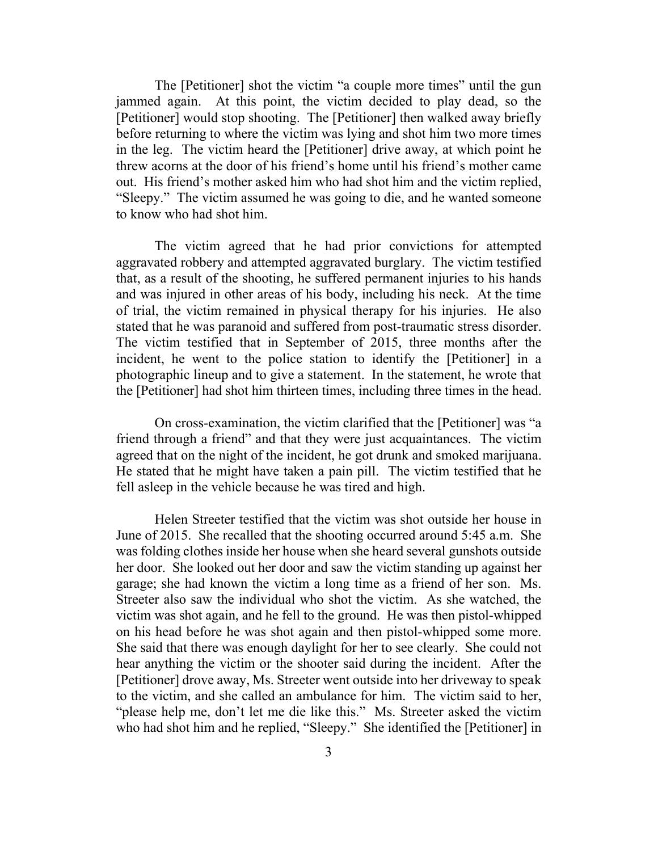The [Petitioner] shot the victim "a couple more times" until the gun jammed again. At this point, the victim decided to play dead, so the [Petitioner] would stop shooting. The [Petitioner] then walked away briefly before returning to where the victim was lying and shot him two more times in the leg. The victim heard the [Petitioner] drive away, at which point he threw acorns at the door of his friend's home until his friend's mother came out. His friend's mother asked him who had shot him and the victim replied, "Sleepy." The victim assumed he was going to die, and he wanted someone to know who had shot him.

The victim agreed that he had prior convictions for attempted aggravated robbery and attempted aggravated burglary. The victim testified that, as a result of the shooting, he suffered permanent injuries to his hands and was injured in other areas of his body, including his neck. At the time of trial, the victim remained in physical therapy for his injuries. He also stated that he was paranoid and suffered from post-traumatic stress disorder. The victim testified that in September of 2015, three months after the incident, he went to the police station to identify the [Petitioner] in a photographic lineup and to give a statement. In the statement, he wrote that the [Petitioner] had shot him thirteen times, including three times in the head.

On cross-examination, the victim clarified that the [Petitioner] was "a friend through a friend" and that they were just acquaintances. The victim agreed that on the night of the incident, he got drunk and smoked marijuana. He stated that he might have taken a pain pill. The victim testified that he fell asleep in the vehicle because he was tired and high.

Helen Streeter testified that the victim was shot outside her house in June of 2015. She recalled that the shooting occurred around 5:45 a.m. She was folding clothes inside her house when she heard several gunshots outside her door. She looked out her door and saw the victim standing up against her garage; she had known the victim a long time as a friend of her son. Ms. Streeter also saw the individual who shot the victim. As she watched, the victim was shot again, and he fell to the ground. He was then pistol-whipped on his head before he was shot again and then pistol-whipped some more. She said that there was enough daylight for her to see clearly. She could not hear anything the victim or the shooter said during the incident. After the [Petitioner] drove away, Ms. Streeter went outside into her driveway to speak to the victim, and she called an ambulance for him. The victim said to her, "please help me, don't let me die like this." Ms. Streeter asked the victim who had shot him and he replied, "Sleepy." She identified the [Petitioner] in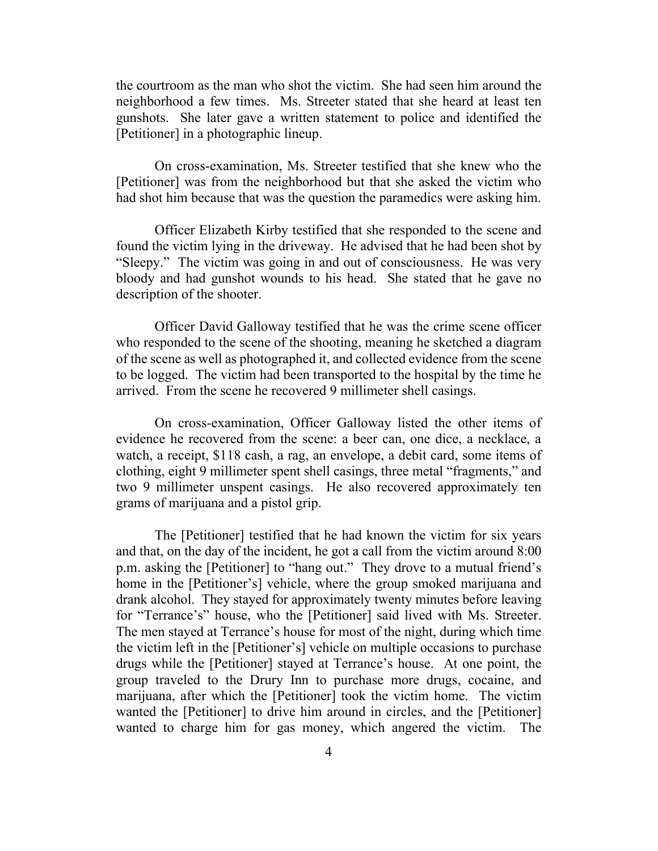the courtroom as the man who shot the victim. She had seen him around the neighborhood a few times. Ms. Streeter stated that she heard at least ten gunshots. She later gave a written statement to police and identified the [Petitioner] in a photographic lineup.

On cross-examination, Ms. Streeter testified that she knew who the [Petitioner] was from the neighborhood but that she asked the victim who had shot him because that was the question the paramedics were asking him.

Officer Elizabeth Kirby testified that she responded to the scene and found the victim lying in the driveway. He advised that he had been shot by "Sleepy." The victim was going in and out of consciousness. He was very bloody and had gunshot wounds to his head. She stated that he gave no description of the shooter.

Officer David Galloway testified that he was the crime scene officer who responded to the scene of the shooting, meaning he sketched a diagram of the scene as well as photographed it, and collected evidence from the scene to be logged. The victim had been transported to the hospital by the time he arrived. From the scene he recovered 9 millimeter shell casings.

On cross-examination, Officer Galloway listed the other items of evidence he recovered from the scene: a beer can, one dice, a necklace, a watch, a receipt, \$118 cash, a rag, an envelope, a debit card, some items of clothing, eight 9 millimeter spent shell casings, three metal "fragments," and two 9 millimeter unspent casings. He also recovered approximately ten grams of marijuana and a pistol grip.

The [Petitioner] testified that he had known the victim for six years and that, on the day of the incident, he got a call from the victim around 8:00 p.m. asking the [Petitioner] to "hang out." They drove to a mutual friend's home in the [Petitioner's] vehicle, where the group smoked marijuana and drank alcohol. They stayed for approximately twenty minutes before leaving for "Terrance's" house, who the [Petitioner] said lived with Ms. Streeter. The men stayed at Terrance's house for most of the night, during which time the victim left in the [Petitioner's] vehicle on multiple occasions to purchase drugs while the [Petitioner] stayed at Terrance's house. At one point, the group traveled to the Drury Inn to purchase more drugs, cocaine, and marijuana, after which the [Petitioner] took the victim home. The victim wanted the [Petitioner] to drive him around in circles, and the [Petitioner] wanted to charge him for gas money, which angered the victim. The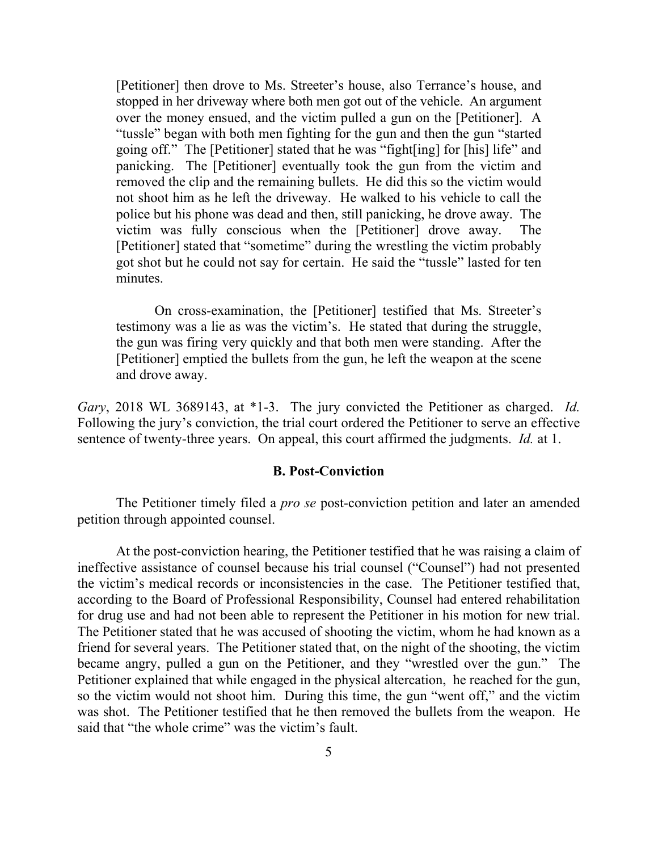[Petitioner] then drove to Ms. Streeter's house, also Terrance's house, and stopped in her driveway where both men got out of the vehicle. An argument over the money ensued, and the victim pulled a gun on the [Petitioner]. A "tussle" began with both men fighting for the gun and then the gun "started going off." The [Petitioner] stated that he was "fight[ing] for [his] life" and panicking. The [Petitioner] eventually took the gun from the victim and removed the clip and the remaining bullets. He did this so the victim would not shoot him as he left the driveway. He walked to his vehicle to call the police but his phone was dead and then, still panicking, he drove away. The victim was fully conscious when the [Petitioner] drove away. The [Petitioner] stated that "sometime" during the wrestling the victim probably got shot but he could not say for certain. He said the "tussle" lasted for ten minutes.

On cross-examination, the [Petitioner] testified that Ms. Streeter's testimony was a lie as was the victim's. He stated that during the struggle, the gun was firing very quickly and that both men were standing. After the [Petitioner] emptied the bullets from the gun, he left the weapon at the scene and drove away.

*Gary*, 2018 WL 3689143, at \*1-3. The jury convicted the Petitioner as charged. *Id.*  Following the jury's conviction, the trial court ordered the Petitioner to serve an effective sentence of twenty-three years. On appeal, this court affirmed the judgments. *Id.* at 1.

#### **B. Post-Conviction**

The Petitioner timely filed a *pro se* post-conviction petition and later an amended petition through appointed counsel.

At the post-conviction hearing, the Petitioner testified that he was raising a claim of ineffective assistance of counsel because his trial counsel ("Counsel") had not presented the victim's medical records or inconsistencies in the case. The Petitioner testified that, according to the Board of Professional Responsibility, Counsel had entered rehabilitation for drug use and had not been able to represent the Petitioner in his motion for new trial. The Petitioner stated that he was accused of shooting the victim, whom he had known as a friend for several years. The Petitioner stated that, on the night of the shooting, the victim became angry, pulled a gun on the Petitioner, and they "wrestled over the gun." The Petitioner explained that while engaged in the physical altercation, he reached for the gun, so the victim would not shoot him. During this time, the gun "went off," and the victim was shot. The Petitioner testified that he then removed the bullets from the weapon. He said that "the whole crime" was the victim's fault.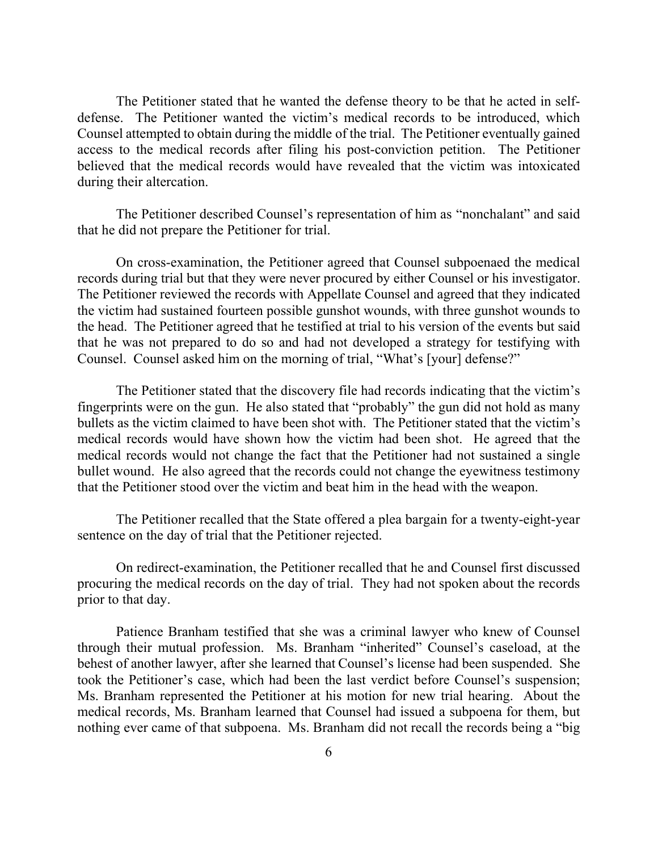The Petitioner stated that he wanted the defense theory to be that he acted in selfdefense. The Petitioner wanted the victim's medical records to be introduced, which Counsel attempted to obtain during the middle of the trial. The Petitioner eventually gained access to the medical records after filing his post-conviction petition. The Petitioner believed that the medical records would have revealed that the victim was intoxicated during their altercation.

The Petitioner described Counsel's representation of him as "nonchalant" and said that he did not prepare the Petitioner for trial.

On cross-examination, the Petitioner agreed that Counsel subpoenaed the medical records during trial but that they were never procured by either Counsel or his investigator. The Petitioner reviewed the records with Appellate Counsel and agreed that they indicated the victim had sustained fourteen possible gunshot wounds, with three gunshot wounds to the head. The Petitioner agreed that he testified at trial to his version of the events but said that he was not prepared to do so and had not developed a strategy for testifying with Counsel. Counsel asked him on the morning of trial, "What's [your] defense?"

The Petitioner stated that the discovery file had records indicating that the victim's fingerprints were on the gun. He also stated that "probably" the gun did not hold as many bullets as the victim claimed to have been shot with. The Petitioner stated that the victim's medical records would have shown how the victim had been shot. He agreed that the medical records would not change the fact that the Petitioner had not sustained a single bullet wound. He also agreed that the records could not change the eyewitness testimony that the Petitioner stood over the victim and beat him in the head with the weapon.

The Petitioner recalled that the State offered a plea bargain for a twenty-eight-year sentence on the day of trial that the Petitioner rejected.

On redirect-examination, the Petitioner recalled that he and Counsel first discussed procuring the medical records on the day of trial. They had not spoken about the records prior to that day.

Patience Branham testified that she was a criminal lawyer who knew of Counsel through their mutual profession. Ms. Branham "inherited" Counsel's caseload, at the behest of another lawyer, after she learned that Counsel's license had been suspended. She took the Petitioner's case, which had been the last verdict before Counsel's suspension; Ms. Branham represented the Petitioner at his motion for new trial hearing. About the medical records, Ms. Branham learned that Counsel had issued a subpoena for them, but nothing ever came of that subpoena. Ms. Branham did not recall the records being a "big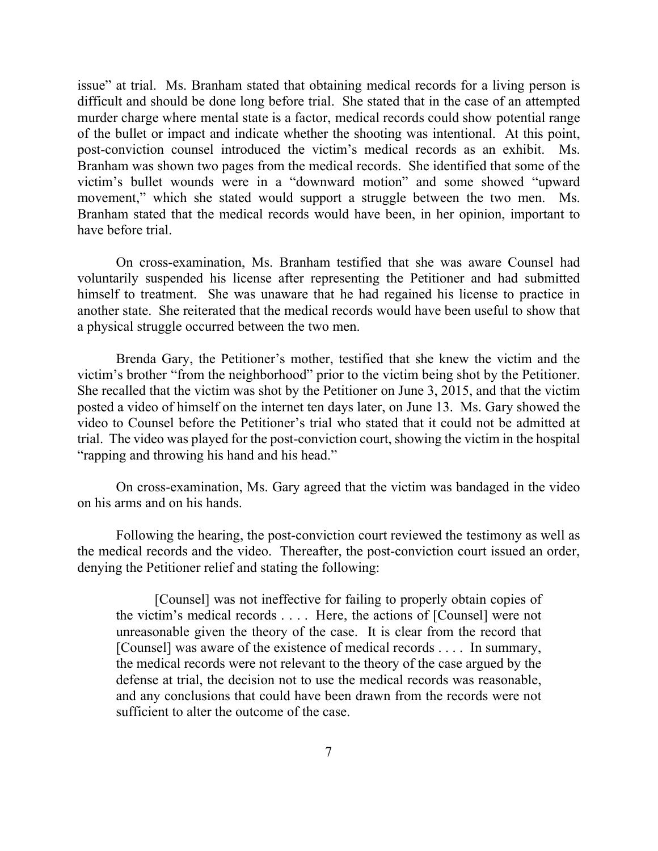issue" at trial. Ms. Branham stated that obtaining medical records for a living person is difficult and should be done long before trial. She stated that in the case of an attempted murder charge where mental state is a factor, medical records could show potential range of the bullet or impact and indicate whether the shooting was intentional. At this point, post-conviction counsel introduced the victim's medical records as an exhibit. Ms. Branham was shown two pages from the medical records. She identified that some of the victim's bullet wounds were in a "downward motion" and some showed "upward movement," which she stated would support a struggle between the two men. Ms. Branham stated that the medical records would have been, in her opinion, important to have before trial.

On cross-examination, Ms. Branham testified that she was aware Counsel had voluntarily suspended his license after representing the Petitioner and had submitted himself to treatment. She was unaware that he had regained his license to practice in another state. She reiterated that the medical records would have been useful to show that a physical struggle occurred between the two men.

Brenda Gary, the Petitioner's mother, testified that she knew the victim and the victim's brother "from the neighborhood" prior to the victim being shot by the Petitioner. She recalled that the victim was shot by the Petitioner on June 3, 2015, and that the victim posted a video of himself on the internet ten days later, on June 13. Ms. Gary showed the video to Counsel before the Petitioner's trial who stated that it could not be admitted at trial. The video was played for the post-conviction court, showing the victim in the hospital "rapping and throwing his hand and his head."

On cross-examination, Ms. Gary agreed that the victim was bandaged in the video on his arms and on his hands.

Following the hearing, the post-conviction court reviewed the testimony as well as the medical records and the video. Thereafter, the post-conviction court issued an order, denying the Petitioner relief and stating the following:

[Counsel] was not ineffective for failing to properly obtain copies of the victim's medical records . . . . Here, the actions of [Counsel] were not unreasonable given the theory of the case. It is clear from the record that [Counsel] was aware of the existence of medical records . . . . In summary, the medical records were not relevant to the theory of the case argued by the defense at trial, the decision not to use the medical records was reasonable, and any conclusions that could have been drawn from the records were not sufficient to alter the outcome of the case.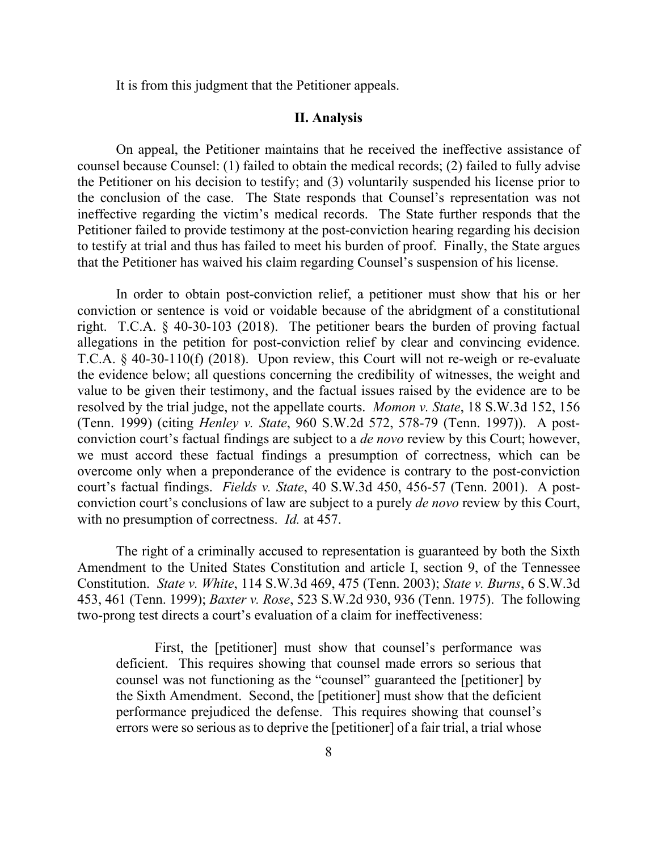It is from this judgment that the Petitioner appeals.

### **II. Analysis**

On appeal, the Petitioner maintains that he received the ineffective assistance of counsel because Counsel: (1) failed to obtain the medical records; (2) failed to fully advise the Petitioner on his decision to testify; and (3) voluntarily suspended his license prior to the conclusion of the case. The State responds that Counsel's representation was not ineffective regarding the victim's medical records. The State further responds that the Petitioner failed to provide testimony at the post-conviction hearing regarding his decision to testify at trial and thus has failed to meet his burden of proof. Finally, the State argues that the Petitioner has waived his claim regarding Counsel's suspension of his license.

In order to obtain post-conviction relief, a petitioner must show that his or her conviction or sentence is void or voidable because of the abridgment of a constitutional right. T.C.A. § 40-30-103 (2018). The petitioner bears the burden of proving factual allegations in the petition for post-conviction relief by clear and convincing evidence. T.C.A. § 40-30-110(f) (2018). Upon review, this Court will not re-weigh or re-evaluate the evidence below; all questions concerning the credibility of witnesses, the weight and value to be given their testimony, and the factual issues raised by the evidence are to be resolved by the trial judge, not the appellate courts. *Momon v. State*, 18 S.W.3d 152, 156 (Tenn. 1999) (citing *Henley v. State*, 960 S.W.2d 572, 578-79 (Tenn. 1997)). A postconviction court's factual findings are subject to a *de novo* review by this Court; however, we must accord these factual findings a presumption of correctness, which can be overcome only when a preponderance of the evidence is contrary to the post-conviction court's factual findings. *Fields v. State*, 40 S.W.3d 450, 456-57 (Tenn. 2001). A postconviction court's conclusions of law are subject to a purely *de novo* review by this Court, with no presumption of correctness. *Id.* at 457.

The right of a criminally accused to representation is guaranteed by both the Sixth Amendment to the United States Constitution and article I, section 9, of the Tennessee Constitution. *State v. White*, 114 S.W.3d 469, 475 (Tenn. 2003); *State v. Burns*, 6 S.W.3d 453, 461 (Tenn. 1999); *Baxter v. Rose*, 523 S.W.2d 930, 936 (Tenn. 1975). The following two-prong test directs a court's evaluation of a claim for ineffectiveness:

First, the [petitioner] must show that counsel's performance was deficient. This requires showing that counsel made errors so serious that counsel was not functioning as the "counsel" guaranteed the [petitioner] by the Sixth Amendment. Second, the [petitioner] must show that the deficient performance prejudiced the defense. This requires showing that counsel's errors were so serious as to deprive the [petitioner] of a fair trial, a trial whose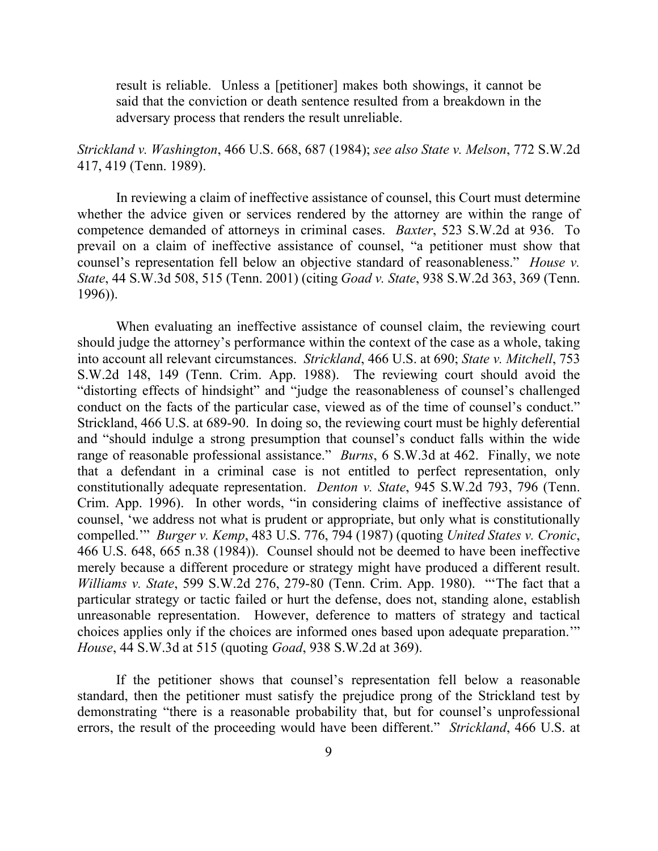result is reliable. Unless a [petitioner] makes both showings, it cannot be said that the conviction or death sentence resulted from a breakdown in the adversary process that renders the result unreliable.

*Strickland v. Washington*, 466 U.S. 668, 687 (1984); *see also State v. Melson*, 772 S.W.2d 417, 419 (Tenn. 1989).

In reviewing a claim of ineffective assistance of counsel, this Court must determine whether the advice given or services rendered by the attorney are within the range of competence demanded of attorneys in criminal cases. *Baxter*, 523 S.W.2d at 936. To prevail on a claim of ineffective assistance of counsel, "a petitioner must show that counsel's representation fell below an objective standard of reasonableness." *House v. State*, 44 S.W.3d 508, 515 (Tenn. 2001) (citing *Goad v. State*, 938 S.W.2d 363, 369 (Tenn. 1996)).

When evaluating an ineffective assistance of counsel claim, the reviewing court should judge the attorney's performance within the context of the case as a whole, taking into account all relevant circumstances. *Strickland*, 466 U.S. at 690; *State v. Mitchell*, 753 S.W.2d 148, 149 (Tenn. Crim. App. 1988). The reviewing court should avoid the "distorting effects of hindsight" and "judge the reasonableness of counsel's challenged conduct on the facts of the particular case, viewed as of the time of counsel's conduct." Strickland, 466 U.S. at 689-90. In doing so, the reviewing court must be highly deferential and "should indulge a strong presumption that counsel's conduct falls within the wide range of reasonable professional assistance." *Burns*, 6 S.W.3d at 462. Finally, we note that a defendant in a criminal case is not entitled to perfect representation, only constitutionally adequate representation. *Denton v. State*, 945 S.W.2d 793, 796 (Tenn. Crim. App. 1996). In other words, "in considering claims of ineffective assistance of counsel, 'we address not what is prudent or appropriate, but only what is constitutionally compelled.'" *Burger v. Kemp*, 483 U.S. 776, 794 (1987) (quoting *United States v. Cronic*, 466 U.S. 648, 665 n.38 (1984)). Counsel should not be deemed to have been ineffective merely because a different procedure or strategy might have produced a different result. *Williams v. State*, 599 S.W.2d 276, 279-80 (Tenn. Crim. App. 1980). "'The fact that a particular strategy or tactic failed or hurt the defense, does not, standing alone, establish unreasonable representation. However, deference to matters of strategy and tactical choices applies only if the choices are informed ones based upon adequate preparation.'" *House*, 44 S.W.3d at 515 (quoting *Goad*, 938 S.W.2d at 369).

If the petitioner shows that counsel's representation fell below a reasonable standard, then the petitioner must satisfy the prejudice prong of the Strickland test by demonstrating "there is a reasonable probability that, but for counsel's unprofessional errors, the result of the proceeding would have been different." *Strickland*, 466 U.S. at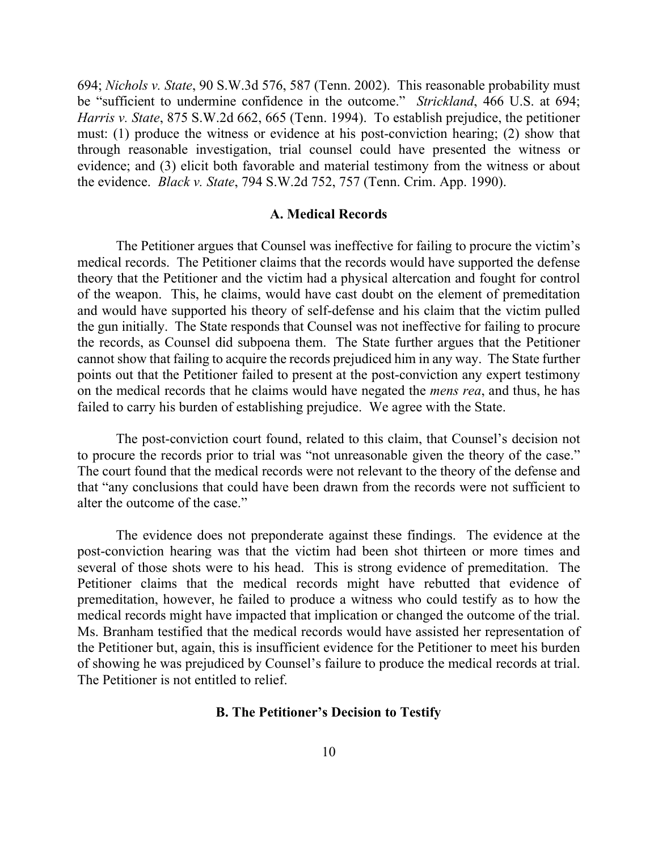694; *Nichols v. State*, 90 S.W.3d 576, 587 (Tenn. 2002). This reasonable probability must be "sufficient to undermine confidence in the outcome." *Strickland*, 466 U.S. at 694; *Harris v. State*, 875 S.W.2d 662, 665 (Tenn. 1994). To establish prejudice, the petitioner must: (1) produce the witness or evidence at his post-conviction hearing; (2) show that through reasonable investigation, trial counsel could have presented the witness or evidence; and (3) elicit both favorable and material testimony from the witness or about the evidence. *Black v. State*, 794 S.W.2d 752, 757 (Tenn. Crim. App. 1990).

#### **A. Medical Records**

The Petitioner argues that Counsel was ineffective for failing to procure the victim's medical records. The Petitioner claims that the records would have supported the defense theory that the Petitioner and the victim had a physical altercation and fought for control of the weapon. This, he claims, would have cast doubt on the element of premeditation and would have supported his theory of self-defense and his claim that the victim pulled the gun initially. The State responds that Counsel was not ineffective for failing to procure the records, as Counsel did subpoena them. The State further argues that the Petitioner cannot show that failing to acquire the records prejudiced him in any way. The State further points out that the Petitioner failed to present at the post-conviction any expert testimony on the medical records that he claims would have negated the *mens rea*, and thus, he has failed to carry his burden of establishing prejudice. We agree with the State.

The post-conviction court found, related to this claim, that Counsel's decision not to procure the records prior to trial was "not unreasonable given the theory of the case." The court found that the medical records were not relevant to the theory of the defense and that "any conclusions that could have been drawn from the records were not sufficient to alter the outcome of the case."

The evidence does not preponderate against these findings. The evidence at the post-conviction hearing was that the victim had been shot thirteen or more times and several of those shots were to his head. This is strong evidence of premeditation. The Petitioner claims that the medical records might have rebutted that evidence of premeditation, however, he failed to produce a witness who could testify as to how the medical records might have impacted that implication or changed the outcome of the trial. Ms. Branham testified that the medical records would have assisted her representation of the Petitioner but, again, this is insufficient evidence for the Petitioner to meet his burden of showing he was prejudiced by Counsel's failure to produce the medical records at trial. The Petitioner is not entitled to relief.

#### **B. The Petitioner's Decision to Testify**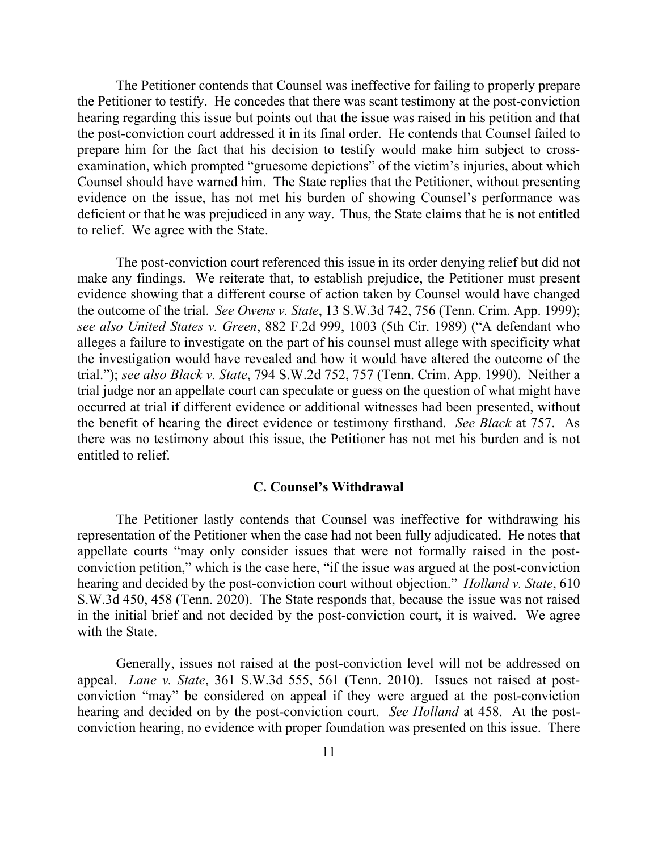The Petitioner contends that Counsel was ineffective for failing to properly prepare the Petitioner to testify. He concedes that there was scant testimony at the post-conviction hearing regarding this issue but points out that the issue was raised in his petition and that the post-conviction court addressed it in its final order. He contends that Counsel failed to prepare him for the fact that his decision to testify would make him subject to crossexamination, which prompted "gruesome depictions" of the victim's injuries, about which Counsel should have warned him. The State replies that the Petitioner, without presenting evidence on the issue, has not met his burden of showing Counsel's performance was deficient or that he was prejudiced in any way. Thus, the State claims that he is not entitled to relief. We agree with the State.

The post-conviction court referenced this issue in its order denying relief but did not make any findings. We reiterate that, to establish prejudice, the Petitioner must present evidence showing that a different course of action taken by Counsel would have changed the outcome of the trial. *See Owens v. State*, 13 S.W.3d 742, 756 (Tenn. Crim. App. 1999); *see also United States v. Green*, 882 F.2d 999, 1003 (5th Cir. 1989) ("A defendant who alleges a failure to investigate on the part of his counsel must allege with specificity what the investigation would have revealed and how it would have altered the outcome of the trial."); *see also Black v. State*, 794 S.W.2d 752, 757 (Tenn. Crim. App. 1990). Neither a trial judge nor an appellate court can speculate or guess on the question of what might have occurred at trial if different evidence or additional witnesses had been presented, without the benefit of hearing the direct evidence or testimony firsthand. *See Black* at 757. As there was no testimony about this issue, the Petitioner has not met his burden and is not entitled to relief.

### **C. Counsel's Withdrawal**

The Petitioner lastly contends that Counsel was ineffective for withdrawing his representation of the Petitioner when the case had not been fully adjudicated. He notes that appellate courts "may only consider issues that were not formally raised in the postconviction petition," which is the case here, "if the issue was argued at the post-conviction hearing and decided by the post-conviction court without objection." *Holland v. State*, 610 S.W.3d 450, 458 (Tenn. 2020). The State responds that, because the issue was not raised in the initial brief and not decided by the post-conviction court, it is waived. We agree with the State.

Generally, issues not raised at the post-conviction level will not be addressed on appeal. *Lane v. State*, 361 S.W.3d 555, 561 (Tenn. 2010). Issues not raised at postconviction "may" be considered on appeal if they were argued at the post-conviction hearing and decided on by the post-conviction court. *See Holland* at 458. At the postconviction hearing, no evidence with proper foundation was presented on this issue. There